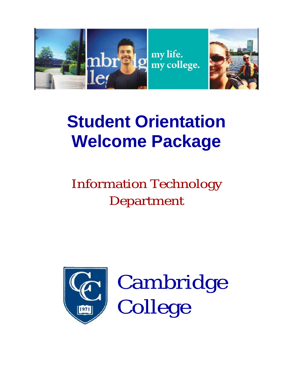

# **Student Orientation Welcome Package**

# Information Technology Department



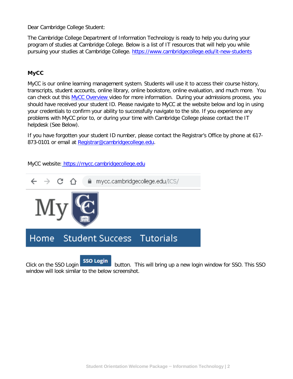Dear Cambridge College Student:

The Cambridge College Department of Information Technology is ready to help you during your program of studies at Cambridge College. Below is a list of IT resources that will help you while pursuing your studies at Cambridge College. <https://www.cambridgecollege.edu/it-new-students>

#### **MyCC**

MyCC is our online learning management system. Students will use it to access their course history, transcripts, student accounts, online library, online bookstore, online evaluation, and much more. You can check out this [MyCC Overview](https://www.youtube.com/watch?v=0IYE-a6EQlU) video for more information. During your admissions process, you should have received your student ID. Please navigate to MyCC at the website below and log in using your credentials to confirm your ability to successfully navigate to the site. If you experience any problems with MyCC prior to, or during your time with Cambridge College please contact the IT helpdesk (See Below).

If you have forgotten your student ID number, please contact the Registrar's Office by phone at 617- 873-0101 or email at [Registrar@cambridgecollege.edu.](mailto:Registrar@cambridgecollege.edu)

MyCC website: [https://mycc.cambridgecollege.edu](https://mycc.cambridgecollege.edu/)



Click on the SSO Login **SSO Login** button. This will bring up a new login window for SSO. This SSO window will look similar to the below screenshot.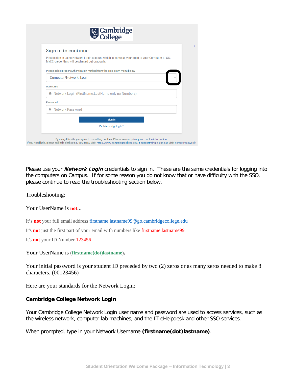|          | Cambridge                                                                                                                                        |
|----------|--------------------------------------------------------------------------------------------------------------------------------------------------|
|          | Sign in to continue.                                                                                                                             |
|          | Please sign in using Network Login account which is same as your login to your Computer at CC.<br>MyCC credentials will be phased out gradually. |
|          | Please select proper authentication method from the drop down menu below                                                                         |
|          | Computer/Network_Login                                                                                                                           |
| Username |                                                                                                                                                  |
|          | A Network Login (FirstName.LastName only no Numbers)                                                                                             |
| Password |                                                                                                                                                  |
| ≏        | <b>Network Password</b>                                                                                                                          |
|          | Sign in                                                                                                                                          |
|          | Problems signing in?                                                                                                                             |

Please use your *Network Login* credentials to sign in. These are the same credentials for logging into the computers on Campus. If for some reason you do not know that or have difficulty with the SSO, please continue to read the troubleshooting section below.

Troubleshooting:

Your UserName is **not**...

It's **not** your full email address [firstname.lastname99@go.cambridgecollege.edu](mailto:firstname.lastname99@go.cambridgecollege.edu)

It's **not** just the first part of your email with numbers like firstname.lastname99

It's **not** your ID Number 123456

Your UserName is (**firstname(dot)lastname**)**.**

Your initial password is your student ID preceded by two (2) zeros or as many zeros needed to make 8 characters. (00123456)

Here are your standards for the Network Login:

#### **Cambridge College Network Login**

Your Cambridge College Network Login user name and password are used to access services, such as the wireless network, computer lab machines, and the IT eHelpdesk and other SSO services.

When prompted, type in your Network Username **(firstname(dot)lastname)**.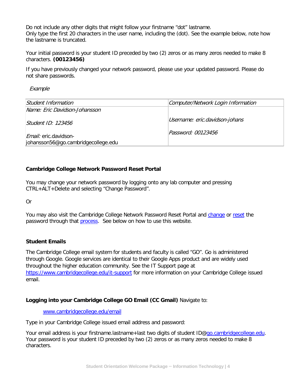Do not include any other digits that might follow your firstname "dot" lastname. Only type the first 20 characters in the user name, including the (dot). See the example below, note how the lastname is truncated.

Your initial password is your student ID preceded by two (2) zeros or as many zeros needed to make 8 characters. **(00123456)**

If you have previously changed your network password, please use your updated password. Please do not share passwords.

Example

| Student Information                                                 | Computer/Network Login Information |
|---------------------------------------------------------------------|------------------------------------|
| Name: Eric Davidson-Johansson                                       |                                    |
| Student ID: $123456$                                                | Username: eric.davidson-johans     |
| <i>Email:</i> eric.davidson-<br>johansson56@go.cambridgecollege.edu | Password: 00123456                 |

#### **Cambridge College Network Password Reset Portal**

You may change your network password by logging onto any lab computer and pressing CTRL+ALT+Delete and selecting "Change Password".

Or

You may also visit the Cambridge College Network Password Reset Portal and [change](https://pwd.cambridgecollege.edu/) or [reset](https://pwd.cambridgecollege.edu/?action=sendtoken) the password through that **process**. See below on how to use this website.

#### **Student Emails**

The Cambridge College email system for students and faculty is called "GO". Go is administered through Google. Google services are identical to their Google Apps product and are widely used throughout the higher education community. See the IT Support page at <https://www.cambridgecollege.edu/it-support> for more information on your Cambridge College issued email.

#### **Logging into your Cambridge College GO Email (CC Gmail)** Navigate to:

#### [www.cambridgecollege.edu/email](http://www.cambridgecollege.edu/email)

Type in your Cambridge College issued email address and password:

Your email address is your firstname.lastname+last two digits of student ID[@go.cambridgecollege.edu.](http://go.cambridgecollege.edu/) Your password is your student ID preceded by two (2) zeros or as many zeros needed to make 8 characters.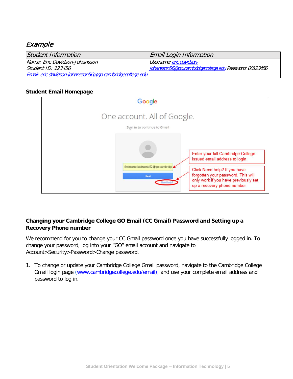## Example

| Student Information                                      | Email Login Information                                |
|----------------------------------------------------------|--------------------------------------------------------|
| Name: Eric Davidson-Johansson                            | Username: eric.davidson-                               |
| Student ID: 123456                                       | johansson56@go.cambridgecollege.edu Password: 00123456 |
| Email: eric.davidson-johansson56@go.cambridgecollege.edu |                                                        |

#### **Student Email Homepage**



#### **Changing your Cambridge College GO Email (CC Gmail) Password and Setting up a Recovery Phone number**

We recommend for you to change your CC Gmail password once you have successfully logged in. To change your password, log into your "GO" email account and navigate to Account>Security>Password>Change password.

1. To change or update your Cambridge College Gmail password, navigate to the Cambridge College Gmail login page [\(www.cambridgecollege.edu/email\),](http://www.cambridgecollege.edu/email),) and use your complete email address and password to log in.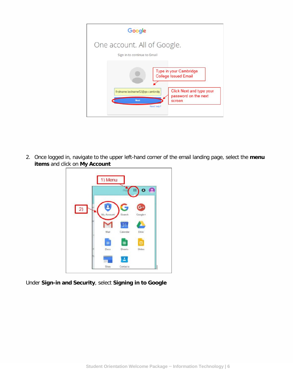| Google                                                      |                                                            |
|-------------------------------------------------------------|------------------------------------------------------------|
| One account. All of Google.<br>Sign in to continue to Gmail |                                                            |
|                                                             | Type in your Cambridge<br><b>College Issued Email</b>      |
| firstname.lastname52@go.cambridg<br>Next                    | Click Next and type your<br>password on the next<br>screen |
| Need help?                                                  |                                                            |

2. Once logged in, navigate to the upper left-hand corner of the email landing page, select the **menu items** and click on **My Account**



Under **Sign-in and Security**, select **Signing in to Google**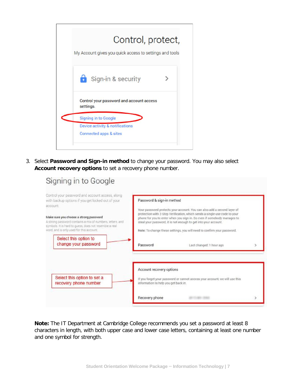

3. Select **Password and Sign-in method** to change your password. You may also select **Account recovery options** to set a recovery phone number.

| Control your password and account access, along<br>with backup options if you get locked out of your<br>account                                                                                            | Password & sign-in method            |                                                                                                                                                                                                                                                                                                                                                                                |  |
|------------------------------------------------------------------------------------------------------------------------------------------------------------------------------------------------------------|--------------------------------------|--------------------------------------------------------------------------------------------------------------------------------------------------------------------------------------------------------------------------------------------------------------------------------------------------------------------------------------------------------------------------------|--|
| Make sure you choose a strong password<br>A strong password contains a mix of numbers, letters, and<br>symbols. It is hard to guess, does not resemble a real.<br>word, and is only used for this account. |                                      | Your password protects your account. You can also add a second layer of<br>protection with 2-Step Verification, which sends a single-use code to your<br>phone for you to enter when you sign in. So even if somebody manages to<br>steal your password, it is not enough to get into your account.<br>Note: To change these settings, you will need to confirm your password. |  |
| Select this option to<br>change your password                                                                                                                                                              |                                      |                                                                                                                                                                                                                                                                                                                                                                                |  |
|                                                                                                                                                                                                            | Password                             | Last changed: 1 hour ago                                                                                                                                                                                                                                                                                                                                                       |  |
|                                                                                                                                                                                                            |                                      |                                                                                                                                                                                                                                                                                                                                                                                |  |
|                                                                                                                                                                                                            | Account recovery options             |                                                                                                                                                                                                                                                                                                                                                                                |  |
| Select this option to set a<br>recovery phone number                                                                                                                                                       | information to help you get back in. | If you forget your password or cannot access your account, we will use this                                                                                                                                                                                                                                                                                                    |  |

**Note:** The IT Department at Cambridge College recommends you set a password at least 8 characters in length, with both upper case and lower case letters, containing at least one number and one symbol for strength.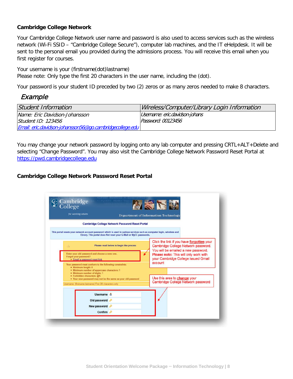#### **Cambridge College Network**

Your Cambridge College Network user name and password is also used to access services such as the wireless network (Wi-Fi SSID – "Cambridge College Secure"), computer lab machines, and the IT eHelpdesk. It will be sent to the personal email you provided during the admissions process. You will receive this email when you first register for courses.

Your username is your (firstname(dot)lastname) Please note: Only type the first 20 characters in the user name, including the (dot).

Your password is your student ID preceded by two (2) zeros or as many zeros needed to make 8 characters.

## Example

| Student Information                                      | Wireless/Computer/Library Login Information |
|----------------------------------------------------------|---------------------------------------------|
| Name: Eric Davidson-Johansson                            | Username: eric.davidson-johans              |
| Student ID: 123456                                       | Password: 00123456                          |
| Email: eric.davidson-johansson56@go.cambridgecollege.edu |                                             |

You may change your network password by logging onto any lab computer and pressing CRTL+ALT+Delete and selecting "Change Password". You may also visit the Cambridge College Network Password Reset Portal at [https://pwd.cambridgecollege.edu](https://pwd.cambridgecollege.edu/)

#### **Cambridge College Network Password Reset Portal**

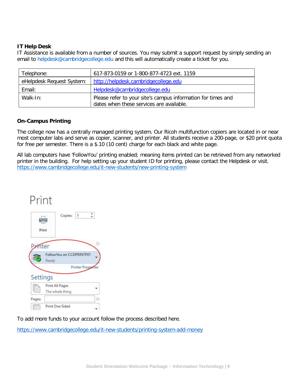#### **IT Help Desk**

IT Assistance is available from a number of sources. You may submit a support request by simply sending an email to helpdesk@cambridgecollege.edu and this will automatically create a ticket for you.

| Telephone:                | 617-873-0159 or 1-800-877-4723 ext. 1159                                                                 |
|---------------------------|----------------------------------------------------------------------------------------------------------|
| eHelpdesk Request System: | http://helpdesk.cambridgecollege.edu                                                                     |
| Email:                    | Helpdesk@cambridgecollege.edu                                                                            |
| Walk-In:                  | Please refer to your site's campus information for times and<br>dates when these services are available. |

#### **On-Campus Printing**

The college now has a centrally managed printing system. Our Ricoh multifunction copiers are located in or near most computer labs and serve as copier, scanner, and printer. All students receive a 200-page, or \$20 print quota for free per semester. There is a \$.10 (10 cent) charge for each black and white page.

All lab computers have 'FollowYou' printing enabled; meaning items printed can be retrieved from any networked printer in the building. For help setting up your student ID for printing, please contact the Helpdesk or visit. <https://www.cambridgecollege.edu/it-new-students/new-printing-system>

| Print               |                                    |   |
|---------------------|------------------------------------|---|
|                     | Copies: 1<br>Print                 |   |
| <i><b>Anter</b></i> |                                    | ⊙ |
|                     | FollowYou on CCDPRINTP01<br>Ready  |   |
|                     | <b>Printer Properties</b>          |   |
| Settings            |                                    |   |
| E                   | Print All Pages<br>The whole thing |   |
| Pages:              |                                    | C |
|                     | Print One Sided                    |   |

To add more funds to your account follow the process described here.

<https://www.cambridgecollege.edu/it-new-students/printing-system-add-money>